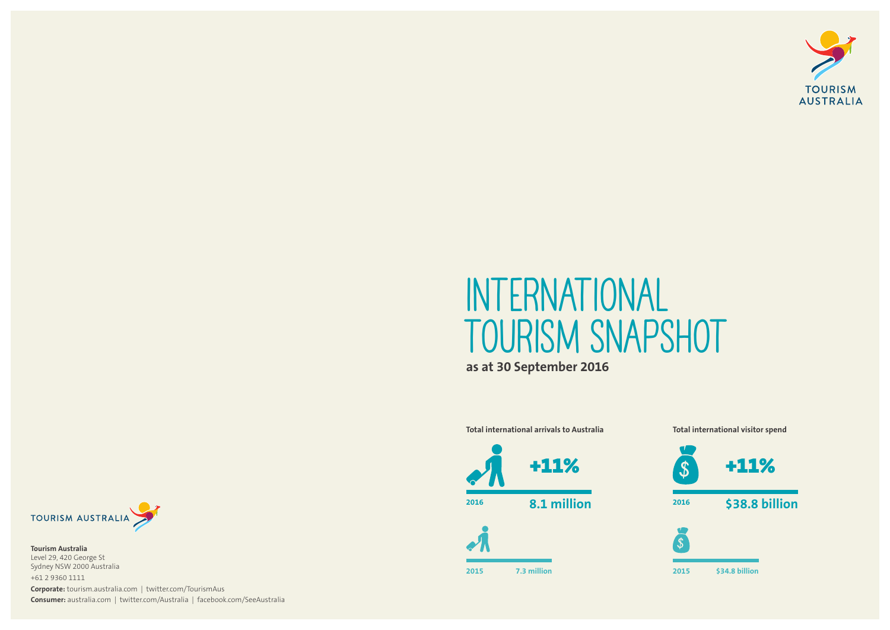## **International Tourism Snapshot as at 30 September 2016**

**Total international arrivals to Australia Total international visitor spend**



**2015 7.3 million**





**Tourism Australia** Level 29, 420 George St Sydney NSW 2000 Australia +61 2 9360 1111

**Corporate:** tourism.australia.com | twitter.com/TourismAus **Consumer:** australia.com | twitter.com/Australia | facebook.com/SeeAustralia